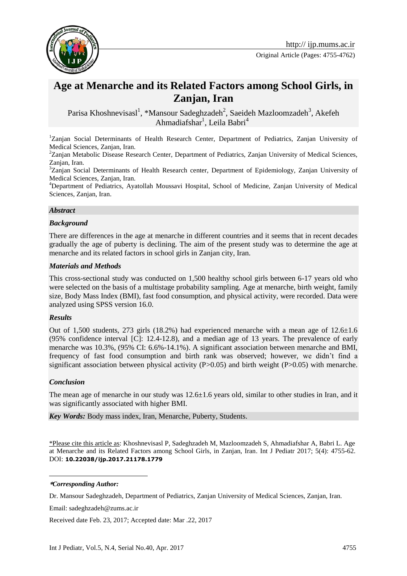

# **Age at Menarche and its Related Factors among School Girls, in Zanjan, Iran**

Parisa Khoshnevisasl<sup>1</sup>, \*Mansour Sadeghzadeh<sup>2</sup>, Saeideh Mazloomzadeh<sup>3</sup>, Akefeh Ahmadiafshar<sup>1</sup>, Leila Babri<sup>4</sup>

<sup>1</sup>Zanjan Social Determinants of Health Research Center, Department of Pediatrics, Zanjan University of Medical Sciences, Zanjan, Iran.

<sup>2</sup>Zanjan Metabolic Disease Research Center, Department of Pediatrics, Zanjan University of Medical Sciences, Zanjan, Iran.

<sup>3</sup>Zanjan Social Determinants of Health Research center, Department of Epidemiology, Zanjan University of Medical Sciences, Zanjan, Iran.

<sup>4</sup>Department of Pediatrics, Ayatollah Moussavi Hospital, School of Medicine, Zanjan University of Medical Sciences, Zanjan, Iran.

#### *Abstract*

#### *Background*

There are differences in the age at menarche in different countries and it seems that in recent decades gradually the age of puberty is declining. The aim of the present study was to determine the age at menarche and its related factors in school girls in Zanjan city, Iran.

#### *Materials and Methods*

This cross-sectional study was conducted on 1,500 healthy school girls between 6-17 years old who were selected on the basis of a multistage probability sampling. Age at menarche, birth weight, family size, Body Mass Index (BMI), fast food consumption, and physical activity, were recorded. Data were analyzed using SPSS version 16.0.

#### *Results*

Out of 1,500 students, 273 girls (18.2%) had experienced menarche with a mean age of  $12.6 \pm 1.6$ (95% confidence interval [C]: 12.4-12.8), and a median age of 13 years. The prevalence of early menarche was 10.3%, (95% CI: 6.6%-14.1%). A significant association between menarche and BMI, frequency of fast food consumption and birth rank was observed; however, we didn't find a significant association between physical activity  $(P>0.05)$  and birth weight  $(P>0.05)$  with menarche.

#### *Conclusion*

The mean age of menarche in our study was 12.6±1.6 years old, similar to other studies in Iran, and it was significantly associated with higher BMI.

*Key Words:* Body mass index, Iran, Menarche, Puberty, Students.

\*Please cite this article as: Khoshnevisasl P, Sadeghzadeh M, Mazloomzadeh S, Ahmadiafshar A, Babri L. Age at Menarche and its Related Factors among School Girls, in Zanjan, Iran. Int J Pediatr 2017; 5(4): 4755-62. DOI: **10.22038/ijp.2017.21178.1779**

**\****Corresponding Author:*

1

Dr. Mansour Sadeghzadeh, Department of Pediatrics, Zanjan University of Medical Sciences, Zanjan, Iran.

Email: sadeghzadeh@zums.ac.ir

Received date Feb. 23, 2017; Accepted date: Mar .22, 2017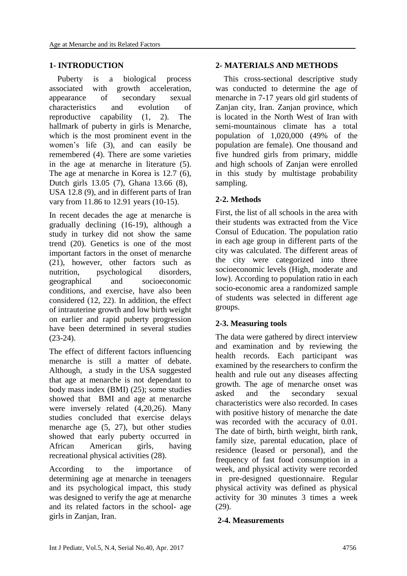### **1- INTRODUCTION**

 Puberty is a biological process associated with growth acceleration, appearance of secondary sexual characteristics and evolution of reproductive capability (1, 2). The hallmark of puberty in girls is Menarche, which is the most prominent event in the women's life (3), and can easily be remembered (4). There are some varieties in the age at menarche in literature (5). The age at menarche in Korea is 12.7 (6), Dutch girls 13.05 (7), Ghana 13.66 (8), USA 12.8 (9), and in different parts of Iran vary from 11.86 to 12.91 years (10-15).

In recent decades the age at menarche is gradually declining (16-19), although a study in turkey did not show the same trend (20). Genetics is one of the most important factors in the onset of menarche (21), however, other factors such as nutrition, psychological disorders, geographical and socioeconomic conditions, and exercise, have also been considered (12, 22). In addition, the effect of intrauterine growth and low birth weight on earlier and rapid puberty progression have been determined in several studies (23-24).

The effect of different factors influencing menarche is still a matter of debate. Although, a study in the USA suggested that age at menarche is not dependant to body mass index (BMI) (25); some studies showed that BMI and age at menarche were inversely related (4,20,26). Many studies concluded that exercise delays menarche age (5, 27), but other studies showed that early puberty occurred in African American girls, having recreational physical activities (28).

According to the importance of determining age at menarche in teenagers and its psychological impact, this study was designed to verify the age at menarche and its related factors in the school- age girls in Zanjan, Iran.

### **2- MATERIALS AND METHODS**

 This cross-sectional descriptive study was conducted to determine the age of menarche in 7-17 years old girl students of Zanjan city, Iran. Zanjan province, which is located in the North West of Iran with semi-mountainous climate has a total population of 1,020,000 (49% of the population are female). One thousand and five hundred girls from primary, middle and high schools of Zanjan were enrolled in this study by multistage probability sampling.

### **2-2. Methods**

First, the list of all schools in the area with their students was extracted from the Vice Consul of Education. The population ratio in each age group in different parts of the city was calculated. The different areas of the city were categorized into three socioeconomic levels (High, moderate and low). According to population ratio in each socio-economic area a randomized sample of students was selected in different age groups.

### **2-3. Measuring tools**

The data were gathered by direct interview and examination and by reviewing the health records. Each participant was examined by the researchers to confirm the health and rule out any diseases affecting growth. The age of menarche onset was asked and the secondary sexual characteristics were also recorded. In cases with positive history of menarche the date was recorded with the accuracy of 0.01. The date of birth, birth weight, birth rank, family size, parental education, place of residence (leased or personal), and the frequency of fast food consumption in a week, and physical activity were recorded in pre-designed questionnaire. Regular physical activity was defined as physical activity for 30 minutes 3 times a week (29).

#### **2-4. Measurements**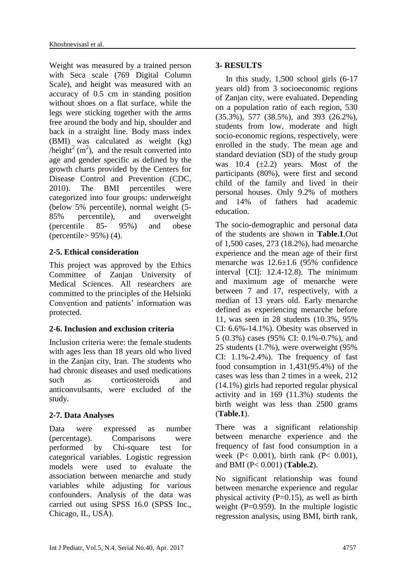Weight was measured by a trained person with Seca scale (769 Digital Column Scale), and height was measured with an accuracy of 0.5 cm in standing position without shoes on a flat surface, while the legs were sticking together with the arms free around the body and hip, shoulder and back in a straight line. Body mass index (BMI) was calculated as weight (kg) /height<sup>2</sup> (m<sup>2</sup>), and the result converted into age and gender specific as defined by the growth charts provided by the Centers for Disease Control and Prevention (CDC, 2010). The BMI percentiles were categorized into four groups: underweight (below 5% percentile), normal weight (5- 85% percentile), and overweight (percentile 85- 95%) and obese (percentile> 95%) (4).

### **2-5. Ethical consideration**

This project was approved by the Ethics Committee of Zanian University of Medical Sciences. All researchers are committed to the principles of the Helsinki Convention and patients' information was protected.

# **2-6. Inclusion and exclusion criteria**

Inclusion criteria were: the female students with ages less than 18 years old who lived in the Zanjan city, Iran. The students who had chronic diseases and used medications such as corticosteroids and anticonvulsants, were excluded of the study.

# **2-7. Data Analyses**

Data were expressed as number (percentage). Comparisons were performed by Chi-square test for categorical variables. Logistic regression models were used to evaluate the association between menarche and study variables while adjusting for various confounders. Analysis of the data was carried out using SPSS 16.0 (SPSS Inc., Chicago, IL, USA).

### **3- RESULTS**

In this study,  $1,500$  school girls  $(6-17)$ years old) from 3 socioeconomic regions of Zanjan city, were evaluated. Depending on a population ratio of each region, 530 (35.3%), 577 (38.5%), and 393 (26.2%), students from low, moderate and high socio-economic regions, respectively, were enrolled in the study. The mean age and standard deviation (SD) of the study group was  $10.4$   $(\pm 2.2)$  years. Most of the participants (80%), were first and second child of the family and lived in their personal houses. Only 9.2% of mothers and 14% of fathers had academic education.

The socio-demographic and personal data of the students are shown in **Table.1**.Out of 1,500 cases, 273 (18.2%), had menarche experience and the mean age of their first menarche was 12.6±1.6 (95% confidence interval [CI]: 12.4-12.8). The minimum and maximum age of menarche were between 7 and 17, respectively, with a median of 13 years old. Early menarche defined as experiencing menarche before 11, was seen in 28 students (10.3%, 95% CI: 6.6%-14.1%). Obesity was observed in 5 (0.3%) cases (95% CI: 0.1%-0.7%), and 25 students (1.7%), were overweight (95% CI:  $1.1\% - 2.4\%$ ). The frequency of fast food consumption in 1,431(95.4%) of the cases was less than 2 times in a week, 212 (14.1%) girls had reported regular physical activity and in 169 (11.3%) students the birth weight was less than 2500 grams (**Table.1**).

There was a significant relationship between menarche experience and the frequency of fast food consumption in a week (P< 0.001), birth rank (P< 0.001), and BMI (P< 0.001) (**Table.2**).

No significant relationship was found between menarche experience and regular physical activity  $(P=0.15)$ , as well as birth weight  $(P=0.959)$ . In the multiple logistic regression analysis, using BMI, birth rank,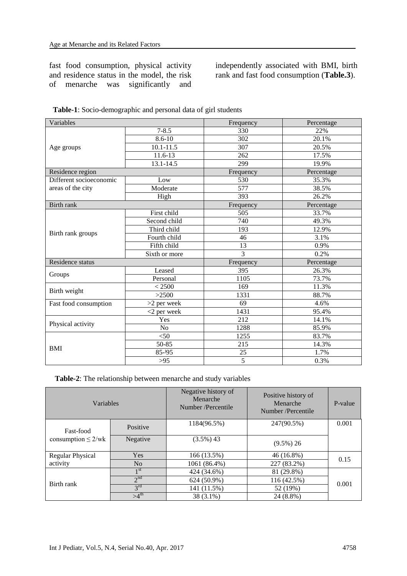fast food consumption, physical activity and residence status in the model, the risk of menarche was significantly and

independently associated with BMI, birth rank and fast food consumption (**Table.3**).

| Variables               |                | Frequency      | Percentage |
|-------------------------|----------------|----------------|------------|
|                         | $7 - 8.5$      | 330            | 22%        |
| Age groups              | $8.6 - 10$     | 302            | 20.1%      |
|                         | $10.1 - 11.5$  | 307            | 20.5%      |
|                         | 11.6-13        | 262            | 17.5%      |
|                         | $13.1 - 14.5$  | 299            | 19.9%      |
| Residence region        |                | Frequency      | Percentage |
| Different socioeconomic | Low            | 530            | 35.3%      |
| areas of the city       | Moderate       | 577            | 38.5%      |
|                         | High           | 393            | 26.2%      |
| Birth rank              |                | Frequency      | Percentage |
|                         | First child    | 505            | 33.7%      |
|                         | Second child   | 740            | 49.3%      |
| Birth rank groups       | Third child    | 193            | 12.9%      |
|                         | Fourth child   | 46             | 3.1%       |
|                         | Fifth child    | 13             | 0.9%       |
|                         | Sixth or more  | 3              | 0.2%       |
| Residence status        |                | Frequency      | Percentage |
|                         | Leased         | 395            | 26.3%      |
| Groups                  | Personal       | 1105           | 73.7%      |
| Birth weight            | < 2500         | 169            | 11.3%      |
|                         | >2500          | 1331           | 88.7%      |
| Fast food consumption   | $>2$ per week  | 69             | 4.6%       |
|                         | $<$ 2 per week | 1431           | 95.4%      |
| Physical activity       | Yes            | 212            | 14.1%      |
|                         | No             | 1288           | 85.9%      |
|                         | $50$           | 1255           | 83.7%      |
|                         | 50-85          | 215            | 14.3%      |
| <b>BMI</b>              | $85 - 195$     | $25\,$         | 1.7%       |
|                         | $>95$          | $\overline{5}$ | 0.3%       |

 **Table-2**: The relationship between menarche and study variables

| Variables                |                 | Negative history of<br>Menarche<br>Number /Percentile | Positive history of<br>Menarche<br>Number /Percentile | P-value |  |
|--------------------------|-----------------|-------------------------------------------------------|-------------------------------------------------------|---------|--|
| Fast-food                | Positive        | 1184(96.5%)                                           | 247(90.5%)                                            | 0.001   |  |
| consumption $\leq 2$ /wk | Negative        | $(3.5\%) 43$                                          | $(9.5\%) 26$                                          |         |  |
| <b>Regular Physical</b>  | Yes             | 166 (13.5%)                                           | 46 (16.8%)                                            | 0.15    |  |
| activity                 | N <sub>o</sub>  | 1061 (86.4%)                                          | 227 (83.2%)                                           |         |  |
|                          | 1 <sup>st</sup> | 424 (34.6%)                                           | 81 (29.8%)                                            |         |  |
| Birth rank               | 2 <sup>nd</sup> | 624 (50.9%)                                           | 116 (42.5%)                                           | 0.001   |  |
|                          | $3^{\text{rd}}$ | 141 (11.5%)                                           | 52 (19%)                                              |         |  |
|                          | $>4^{th}$       | 38 (3.1%)                                             | 24 (8.8%)                                             |         |  |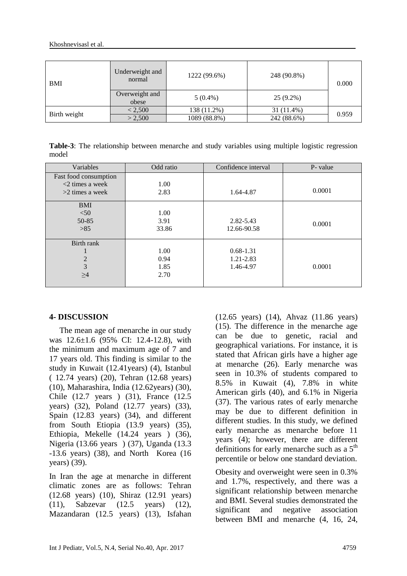| <b>BMI</b>   | Underweight and<br>normal | 1222 (99.6%) | 248 (90.8%) |       |  |
|--------------|---------------------------|--------------|-------------|-------|--|
|              | Overweight and<br>obese   | $5(0.4\%)$   | $25(9.2\%)$ |       |  |
| Birth weight | < 2,500                   | 138 (11.2%)  | 31 (11.4%)  | 0.959 |  |
|              | > 2,500                   | 1089 (88.8%) | 242 (88.6%) |       |  |

**Table-3**: The relationship between menarche and study variables using multiple logistic regression model

| Variables                                      | Odd ratio | Confidence interval | P- value |
|------------------------------------------------|-----------|---------------------|----------|
| Fast food consumption<br>$\leq$ 2 times a week | 1.00      |                     |          |
| $>2$ times a week                              | 2.83      | 1.64-4.87           | 0.0001   |
| <b>BMI</b>                                     |           |                     |          |
| $<$ 50                                         | 1.00      |                     |          |
| 50-85                                          | 3.91      | 2.82-5.43           | 0.0001   |
| >85                                            | 33.86     | 12.66-90.58         |          |
| Birth rank                                     |           |                     |          |
|                                                | 1.00      | $0.68 - 1.31$       |          |
| $\overline{2}$                                 | 0.94      | 1.21-2.83           |          |
| 3                                              | 1.85      | 1.46-4.97           | 0.0001   |
| >4                                             | 2.70      |                     |          |

### **4- DISCUSSION**

 The mean age of menarche in our study was 12.6±1.6 (95% CI: 12.4-12.8), with the minimum and maximum age of 7 and 17 years old. This finding is similar to the study in Kuwait (12.41years) (4), Istanbul ( 12.74 years) (20), Tehran (12.68 years) (10), Maharashira, India (12.62years) (30), Chile (12.7 years ) (31), France (12.5 years) (32), Poland (12.77 years) (33), Spain (12.83 years) (34), and different from South Etiopia (13.9 years) (35), Ethiopia, Mekelle (14.24 years ) (36), Nigeria (13.66 years ) (37), Uganda (13.3 -13.6 years) (38), and North Korea (16 years) (39).

In Iran the age at menarche in different climatic zones are as follows: Tehran (12.68 years) (10), Shiraz (12.91 years) (11), Sabzevar (12.5 years) (12), Mazandaran (12.5 years) (13), Isfahan (12.65 years) (14), Ahvaz (11.86 years) (15). The difference in the menarche age can be due to genetic, racial and geographical variations. For instance, it is stated that African girls have a higher age at menarche (26). Early menarche was seen in 10.3% of students compared to 8.5% in Kuwait (4), 7.8% in white American girls (40), and 6.1% in Nigeria (37). The various rates of early menarche may be due to different definition in different studies. In this study, we defined early menarche as menarche before 11 years (4); however, there are different definitions for early menarche such as a  $5<sup>th</sup>$ percentile or below one standard deviation.

Obesity and overweight were seen in 0.3% and 1.7%, respectively, and there was a significant relationship between menarche and BMI. Several studies demonstrated the significant and negative association between BMI and menarche (4, 16, 24,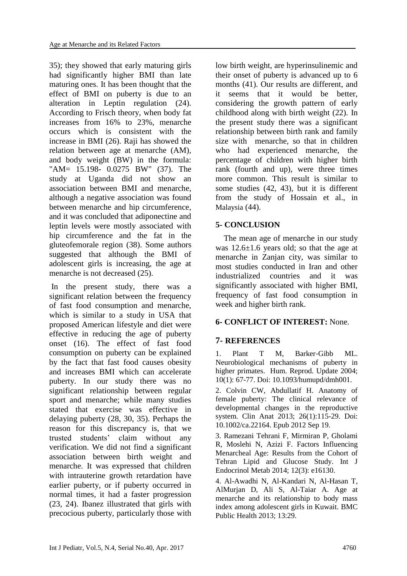35); they showed that early maturing girls had significantly higher BMI than late maturing ones. It has been thought that the effect of BMI on puberty is due to an alteration in Leptin regulation (24). According to Frisch theory, when body fat increases from 16% to 23%, menarche occurs which is consistent with the increase in BMI (26). Raji has showed the relation between age at menarche (AM), and body weight (BW) in the formula: "AM= 15.198- 0.0275 BW" (37). The study at Uganda did not show an association between BMI and menarche, although a negative association was found between menarche and hip circumference, and it was concluded that adiponectine and leptin levels were mostly associated with hip circumference and the fat in the gluteofemorale region (38). Some authors suggested that although the BMI of adolescent girls is increasing, the age at menarche is not decreased (25).

In the present study, there was a significant relation between the frequency of fast food consumption and menarche, which is similar to a study in USA that proposed American lifestyle and diet were effective in reducing the age of puberty onset (16). The effect of fast food consumption on puberty can be explained by the fact that fast food causes obesity and increases BMI which can accelerate puberty. In our study there was no significant relationship between regular sport and menarche; while many studies stated that exercise was effective in delaying puberty (28, 30, 35). Perhaps the reason for this discrepancy is, that we trusted students' claim without any verification. We did not find a significant association between birth weight and menarche. It was expressed that children with intrauterine growth retardation have earlier puberty, or if puberty occurred in normal times, it had a faster progression (23, 24). Ibanez illustrated that girls with precocious puberty, particularly those with low birth weight, are hyperinsulinemic and their onset of puberty is advanced up to 6 months (41). Our results are different, and it seems that it would be better, considering the growth pattern of early childhood along with birth weight (22). In the present study there was a significant relationship between birth rank and family size with menarche, so that in children who had experienced menarche, the percentage of children with higher birth rank (fourth and up), were three times more common. This result is similar to some studies (42, 43), but it is different from the study of Hossain et al., in Malaysia (44).

# **5- CONCLUSION**

 The mean age of menarche in our study was  $12.6 \pm 1.6$  years old; so that the age at menarche in Zanjan city, was similar to most studies conducted in Iran and other industrialized countries and it was significantly associated with higher BMI, frequency of fast food consumption in week and higher birth rank.

# **6- CONFLICT OF INTEREST:** None.

# **7- REFERENCES**

1. Plant T M, Barker‐Gibb ML. Neurobiological mechanisms of puberty in higher primates. Hum. Reprod. Update 2004; 10(1): 67-77. Doi: 10.1093/humupd/dmh001.

2. Colvin CW, Abdullatif H. Anatomy of female puberty: The clinical relevance of developmental changes in the reproductive system. Clin Anat 2013; 26(1):115-29. Doi: 10.1002/ca.22164. Epub 2012 Sep 19.

3. Ramezani Tehrani F, Mirmiran P, Gholami R, Moslehi N, Azizi F. Factors Influencing Menarcheal Age: Results from the Cohort of Tehran Lipid and Glucose Study. Int J Endocrinol Metab 2014; 12(3): e16130.

4. Al-Awadhi N, Al-Kandari N, Al-Hasan T, AlMurjan D, Ali S, Al-Taiar A. Age at menarche and its relationship to body mass index among adolescent girls in Kuwait. BMC Public Health 2013; 13:29.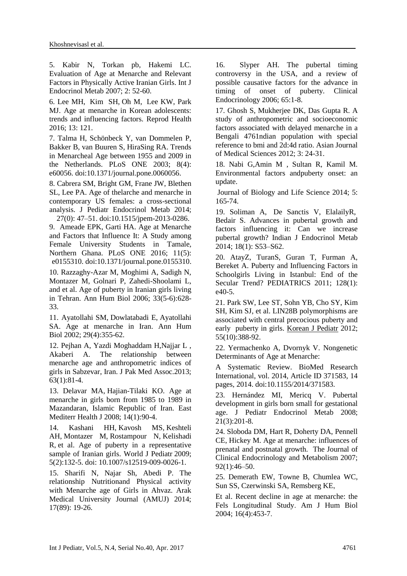5. Kabir N, Torkan pb, Hakemi LC. Evaluation of Age at Menarche and Relevant Factors in Physically Active Iranian Girls. Int J Endocrinol Metab 2007; 2: 52-60.

6. [Lee](https://www.ncbi.nlm.nih.gov/pubmed/?term=Lee%20MH%5BAuthor%5D&cauthor=true&cauthor_uid=27662834) MH, [Kim](https://www.ncbi.nlm.nih.gov/pubmed/?term=Kim%20SH%5BAuthor%5D&cauthor=true&cauthor_uid=27662834) SH, Oh M, [Lee](https://www.ncbi.nlm.nih.gov/pubmed/?term=Lee%20KW%5BAuthor%5D&cauthor=true&cauthor_uid=27662834) KW, Park MJ. Age at menarche in Korean adolescents: trends and influencing factors. [Reprod Health](https://www.ncbi.nlm.nih.gov/pmc/articles/PMC5035449/) 2016; 13: 121.

7. Talma H, Schönbeck Y, van Dommelen P, Bakker B, van Buuren S, HiraSing RA. Trends in Menarcheal Age between 1955 and 2009 in the Netherlands. PLoS ONE 2003; 8(4): e60056. doi:10.1371/journal.pone.0060056.

8. Cabrera SM, Bright GM, Frane JW, Blethen SL, Lee PA. Age of thelarche and menarche in contemporary US females: a cross-sectional analysis. J Pediatr Endocrinol Metab 2014;

27(0): 47–51. doi:10.1515/jpem-2013-0286. 9. Ameade EPK, Garti HA. Age at Menarche and Factors that Influence It: A Study among Female University Students in Tamale, Northern Ghana. PLoS ONE 2016; 11(5): e0155310. doi:10.1371/journal.pone.0155310.

10. Razzaghy-Azar M, Moghimi A, Sadigh N, Montazer M, Golnari P, Zahedi-Shoolami L, and et al. Age of puberty in Iranian girls living in Tehran. Ann Hum Biol 2006; 33(5-6):628- 33.

11. [Ayatollahi SM,](https://www.ncbi.nlm.nih.gov/pubmed/?term=Ayatollahi%20SM%5BAuthor%5D&cauthor=true&cauthor_uid=12160469) [Dowlatabadi E,](https://www.ncbi.nlm.nih.gov/pubmed/?term=Dowlatabadi%20E%5BAuthor%5D&cauthor=true&cauthor_uid=12160469) [Ayatollahi](https://www.ncbi.nlm.nih.gov/pubmed/?term=Ayatollahi%20SA%5BAuthor%5D&cauthor=true&cauthor_uid=12160469)  [SA.](https://www.ncbi.nlm.nih.gov/pubmed/?term=Ayatollahi%20SA%5BAuthor%5D&cauthor=true&cauthor_uid=12160469) Age at menarche in Iran. [Ann Hum](https://www.ncbi.nlm.nih.gov/pubmed/12160469)  [Biol](https://www.ncbi.nlm.nih.gov/pubmed/12160469) 2002; 29(4):355-62.

12. Pejhan A, Yazdi Moghaddam H,Najjar L , Akaberi A. The relationship between menarche age and anthropometric indices of girls in Sabzevar, Iran. J Pak Med Assoc.2013; 63(1):81-4.

13. [Delavar MA,](https://www.ncbi.nlm.nih.gov/pubmed/?term=Delavar%20MA%5BAuthor%5D&cauthor=true&cauthor_uid=18557455) [Hajian-Tilaki KO.](https://www.ncbi.nlm.nih.gov/pubmed/?term=Hajian-Tilaki%20KO%5BAuthor%5D&cauthor=true&cauthor_uid=18557455) Age at menarche in girls born from 1985 to 1989 in Mazandaran, Islamic Republic of Iran. [East](https://www.ncbi.nlm.nih.gov/pubmed/18557455)  [Mediterr](https://www.ncbi.nlm.nih.gov/pubmed/18557455) Health J 2008; 14(1):90-4.

14. [Kashani HH,](https://www.ncbi.nlm.nih.gov/pubmed/?term=Kashani%20HH%5BAuthor%5D&cauthor=true&cauthor_uid=19718536) [Kavosh MS,](https://www.ncbi.nlm.nih.gov/pubmed/?term=Kavosh%20MS%5BAuthor%5D&cauthor=true&cauthor_uid=19718536) [Keshteli](https://www.ncbi.nlm.nih.gov/pubmed/?term=Keshteli%20AH%5BAuthor%5D&cauthor=true&cauthor_uid=19718536)  [AH,](https://www.ncbi.nlm.nih.gov/pubmed/?term=Keshteli%20AH%5BAuthor%5D&cauthor=true&cauthor_uid=19718536) [Montazer M,](https://www.ncbi.nlm.nih.gov/pubmed/?term=Montazer%20M%5BAuthor%5D&cauthor=true&cauthor_uid=19718536) [Rostampour N,](https://www.ncbi.nlm.nih.gov/pubmed/?term=Rostampour%20N%5BAuthor%5D&cauthor=true&cauthor_uid=19718536) [Kelishadi](https://www.ncbi.nlm.nih.gov/pubmed/?term=Kelishadi%20R%5BAuthor%5D&cauthor=true&cauthor_uid=19718536)  [R,](https://www.ncbi.nlm.nih.gov/pubmed/?term=Kelishadi%20R%5BAuthor%5D&cauthor=true&cauthor_uid=19718536) et al. Age of puberty in a representative sample of Iranian girls. [World J Pediatr](https://www.ncbi.nlm.nih.gov/pubmed/19718536) 2009; 5(2):132-5. doi: 10.1007/s12519-009-0026-1.

15. Sharifi N, Najar Sh, Abedi P. The relationship Nutritionand Physical activity with Menarche age of Girls in Ahvaz. Arak Medical University Journal (AMUJ) 2014; 17(89): 19-26.

16. Slyper AH. The pubertal timing controversy in the USA, and a review of possible causative factors for the advance in timing of onset of puberty. Clinical Endocrinology 2006; 65:1-8.

17. Ghosh S, Mukherjee DK, Das Gupta R. A study of anthropometric and socioeconomic factors associated with delayed menarche in a Bengali 4761ndian population with special reference to bmi and 2d:4d ratio. Asian Journal of Medical Sciences 2012; 3: 24-31.

18. Nabi G,Amin M , Sultan R, Kamil M. Environmental factors andpuberty onset: an update.

Journal of Biology and Life Science 2014; 5: 165-74.

19. [Soliman](https://www.ncbi.nlm.nih.gov/pubmed/?term=Soliman%20A%5BAuthor%5D&cauthor=true&cauthor_uid=25538878) A, [De Sanctis](https://www.ncbi.nlm.nih.gov/pubmed/?term=De%20Sanctis%20V%5BAuthor%5D&cauthor=true&cauthor_uid=25538878) V, [ElalailyR](https://www.ncbi.nlm.nih.gov/pubmed/?term=Elalaily%20R%5BAuthor%5D&cauthor=true&cauthor_uid=25538878), [Bedair](https://www.ncbi.nlm.nih.gov/pubmed/?term=Bedair%20S%5BAuthor%5D&cauthor=true&cauthor_uid=25538878) S. Advances in pubertal growth and factors influencing it: Can we increase pubertal growth? [Indian J Endocrinol Metab](https://www.ncbi.nlm.nih.gov/pmc/articles/PMC4266869/) 2014; 18(1): S53–S62.

20. AtayZ, TuranS, Guran T, Furman A, Bereket A. Puberty and Influencing Factors in Schoolgirls Living in Istanbul: End of the Secular Trend? PEDIATRICS 2011; 128(1):  $e40-5.$ 

21. [Park SW,](http://www.ncbi.nlm.nih.gov/pubmed?term=Park%20SW%5BAuthor%5D&cauthor=true&cauthor_uid=23133486) [Lee ST,](http://www.ncbi.nlm.nih.gov/pubmed?term=Lee%20ST%5BAuthor%5D&cauthor=true&cauthor_uid=23133486) [Sohn YB,](http://www.ncbi.nlm.nih.gov/pubmed?term=Sohn%20YB%5BAuthor%5D&cauthor=true&cauthor_uid=23133486) [Cho SY,](http://www.ncbi.nlm.nih.gov/pubmed?term=Cho%20SY%5BAuthor%5D&cauthor=true&cauthor_uid=23133486) [Kim](http://www.ncbi.nlm.nih.gov/pubmed?term=Kim%20SH%5BAuthor%5D&cauthor=true&cauthor_uid=23133486)  [SH,](http://www.ncbi.nlm.nih.gov/pubmed?term=Kim%20SH%5BAuthor%5D&cauthor=true&cauthor_uid=23133486) [Kim SJ,](http://www.ncbi.nlm.nih.gov/pubmed?term=Kim%20SJ%5BAuthor%5D&cauthor=true&cauthor_uid=23133486) et al. LIN28B polymorphisms are associated with central precocious puberty and early puberty in girls. [Korean J Pediatr](http://www.ncbi.nlm.nih.gov/pubmed/23133486) 2012; 55(10):388-92.

22. Yermachenko A, Dvornyk V. Nongenetic Determinants of Age at Menarche:

A Systematic Review. BioMed Research International, vol. 2014, Article ID 371583, 14 pages, 2014. doi:10.1155/2014/371583.

23. Hernández MI, Mericq V. Pubertal development in girls born small for gestational age. [J Pediatr Endocrinol Metab](http://www.ncbi.nlm.nih.gov/pubmed/18540245) 2008; 21(3):201-8.

24. Sloboda DM, Hart R, Doherty DA, Pennell CE, Hickey M. Age at menarche: influences of prenatal and postnatal growth. The Journal of Clinical Endocrinology and Metabolism 2007; 92(1):46–50.

25. Demerath EW, Towne B, Chumlea WC, Sun SS, Czerwinski SA, Remsberg KE,

Et al. Recent decline in age at menarche: the Fels Longitudinal Study. Am J Hum Biol 2004; 16(4):453-7.